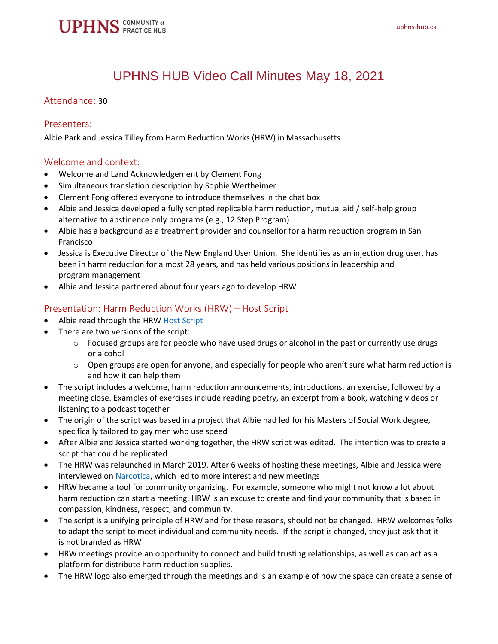

# UPHNS HUB Video Call Minutes May 18, 2021

#### Attendance: 30

#### Presenters:

Albie Park and Jessica Tilley from Harm Reduction Works (HRW) in Massachusetts

#### Welcome and context:

- Welcome and Land Acknowledgement by Clement Fong
- Simultaneous translation description by Sophie Wertheimer
- Clement Fong offered everyone to introduce themselves in the chat box
- Albie and Jessica developed a fully scripted replicable harm reduction, mutual aid / self-help group alternative to abstinence only programs (e.g., 12 Step Program)
- Albie has a background as a treatment provider and counsellor for a harm reduction program in San Francisco
- Jessica is Executive Director of the New England User Union. She identifies as an injection drug user, has been in harm reduction for almost 28 years, and has held various positions in leadership and program management
- Albie and Jessica partnered about four years ago to develop HRW

## Presentation: Harm Reduction Works (HRW) – Host Script

- Albie read through the HRW [Host Script](https://static1.squarespace.com/static/5a10a037edaed8e043739ac8/t/5dbf4e9a60f3bd76cbd5220b/1572818586927/_+HRH413+version+1.3b+of+Harm+Reduction+Works+.pdf)
- There are two versions of the script:
	- $\circ$  Focused groups are for people who have used drugs or alcohol in the past or currently use drugs or alcohol
	- $\circ$  Open groups are open for anyone, and especially for people who aren't sure what harm reduction is and how it can help them
- The script includes a welcome, harm reduction announcements, introductions, an exercise, followed by a meeting close. Examples of exercises include reading poetry, an excerpt from a book, watching videos or listening to a podcast together
- The origin of the script was based in a project that Albie had led for his Masters of Social Work degree, specifically tailored to gay men who use speed
- After Albie and Jessica started working together, the HRW script was edited. The intention was to create a script that could be replicated
- The HRW was relaunched in March 2019. After 6 weeks of hosting these meetings, Albie and Jessica were interviewed on [Narcotica,](https://narcocast.com/) which led to more interest and new meetings
- HRW became a tool for community organizing. For example, someone who might not know a lot about harm reduction can start a meeting. HRW is an excuse to create and find your community that is based in compassion, kindness, respect, and community.
- The script is a unifying principle of HRW and for these reasons, should not be changed. HRW welcomes folks to adapt the script to meet individual and community needs. If the script is changed, they just ask that it is not branded as HRW
- HRW meetings provide an opportunity to connect and build trusting relationships, as well as can act as a platform for distribute harm reduction supplies.
- The HRW logo also emerged through the meetings and is an example of how the space can create a sense of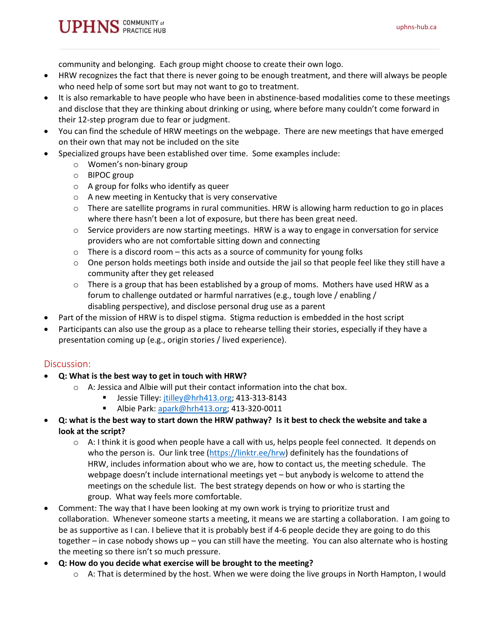community and belonging. Each group might choose to create their own logo.

- HRW recognizes the fact that there is never going to be enough treatment, and there will always be people who need help of some sort but may not want to go to treatment.
- It is also remarkable to have people who have been in abstinence-based modalities come to these meetings and disclose that they are thinking about drinking or using, where before many couldn't come forward in their 12-step program due to fear or judgment.
- You can find the schedule of HRW meetings on the webpage. There are new meetings that have emerged on their own that may not be included on the site
- Specialized groups have been established over time. Some examples include:
	- o Women's non-binary group
	- o BIPOC group
	- o A group for folks who identify as queer
	- o A new meeting in Kentucky that is very conservative
	- $\circ$  There are satellite programs in rural communities. HRW is allowing harm reduction to go in places where there hasn't been a lot of exposure, but there has been great need.
	- o Service providers are now starting meetings. HRW is a way to engage in conversation for service providers who are not comfortable sitting down and connecting
	- $\circ$  There is a discord room this acts as a source of community for young folks
	- $\circ$  One person holds meetings both inside and outside the jail so that people feel like they still have a community after they get released
	- $\circ$  There is a group that has been established by a group of moms. Mothers have used HRW as a forum to challenge outdated or harmful narratives (e.g., tough love / enabling / disabling perspective), and disclose personal drug use as a parent
- Part of the mission of HRW is to dispel stigma. Stigma reduction is embedded in the host script
- Participants can also use the group as a place to rehearse telling their stories, especially if they have a presentation coming up (e.g., origin stories / lived experience).

## Discussion:

- **Q: What is the best way to get in touch with HRW?**
	- $\circ$  A: Jessica and Albie will put their contact information into the chat box.
		- Jessie Tilley: [jtilley@hrh413.org;](mailto:jtilley@hrh413.org) 413-313-8143
			- Albie Park: [apark@hrh413.org;](mailto:apark@hrh413.org) 413-320-0011
- **Q: what is the best way to start down the HRW pathway? Is it best to check the website and take a look at the script?**
	- $\circ$  A: I think it is good when people have a call with us, helps people feel connected. It depends on who the person is. Our link tree [\(https://linktr.ee/hrw\)](https://linktr.ee/hrw) definitely has the foundations of HRW, includes information about who we are, how to contact us, the meeting schedule. The webpage doesn't include international meetings yet – but anybody is welcome to attend the meetings on the schedule list. The best strategy depends on how or who is starting the group. What way feels more comfortable.
- Comment: The way that I have been looking at my own work is trying to prioritize trust and collaboration. Whenever someone starts a meeting, it means we are starting a collaboration. I am going to be as supportive as I can. I believe that it is probably best if 4-6 people decide they are going to do this together – in case nobody shows up – you can still have the meeting. You can also alternate who is hosting the meeting so there isn't so much pressure.
- **Q: How do you decide what exercise will be brought to the meeting?**
	- $\circ$  A: That is determined by the host. When we were doing the live groups in North Hampton, I would